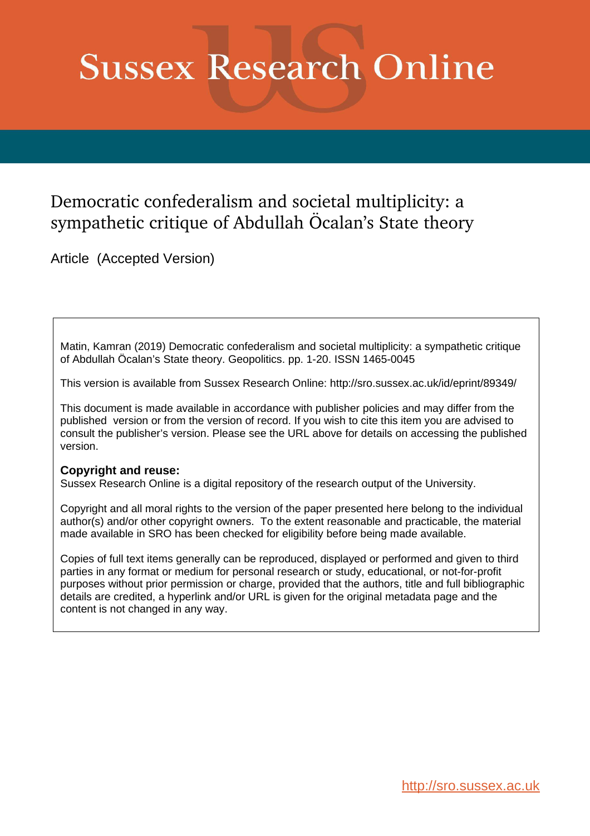# **Sussex Research Online**

# Democratic confederalism and societal multiplicity: a sympathetic critique of Abdullah Öcalan's State theory

Article (Accepted Version)

Matin, Kamran (2019) Democratic confederalism and societal multiplicity: a sympathetic critique of Abdullah Öcalan's State theory. Geopolitics. pp. 1-20. ISSN 1465-0045

This version is available from Sussex Research Online: http://sro.sussex.ac.uk/id/eprint/89349/

This document is made available in accordance with publisher policies and may differ from the published version or from the version of record. If you wish to cite this item you are advised to consult the publisher's version. Please see the URL above for details on accessing the published version.

#### **Copyright and reuse:**

Sussex Research Online is a digital repository of the research output of the University.

Copyright and all moral rights to the version of the paper presented here belong to the individual author(s) and/or other copyright owners. To the extent reasonable and practicable, the material made available in SRO has been checked for eligibility before being made available.

Copies of full text items generally can be reproduced, displayed or performed and given to third parties in any format or medium for personal research or study, educational, or not-for-profit purposes without prior permission or charge, provided that the authors, title and full bibliographic details are credited, a hyperlink and/or URL is given for the original metadata page and the content is not changed in any way.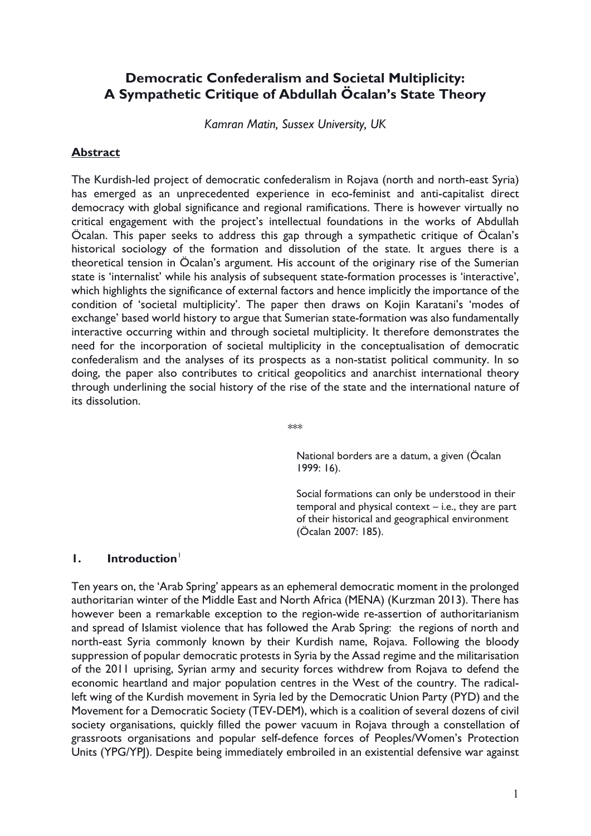# **Democratic Confederalism and Societal Multiplicity: A Sympathetic Critique of Abdullah Öcalan's State Theory**

*Kamran Matin, Sussex University, UK*

# **Abstract**

The Kurdish-led project of democratic confederalism in Rojava (north and north-east Syria) has emerged as an unprecedented experience in eco-feminist and anti-capitalist direct democracy with global significance and regional ramifications. There is however virtually no critical engagement with the project's intellectual foundations in the works of Abdullah Öcalan. This paper seeks to address this gap through a sympathetic critique of Öcalan's historical sociology of the formation and dissolution of the state. It argues there is a theoretical tension in Öcalan's argument. His account of the originary rise of the Sumerian state is 'internalist' while his analysis of subsequent state-formation processes is 'interactive', which highlights the significance of external factors and hence implicitly the importance of the condition of 'societal multiplicity'. The paper then draws on Kojin Karatani's 'modes of exchange' based world history to argue that Sumerian state-formation was also fundamentally interactive occurring within and through societal multiplicity. It therefore demonstrates the need for the incorporation of societal multiplicity in the conceptualisation of democratic confederalism and the analyses of its prospects as a non-statist political community. In so doing, the paper also contributes to critical geopolitics and anarchist international theory through underlining the social history of the rise of the state and the international nature of its dissolution.

\*\*\*

National borders are a datum, a given (Öcalan 1999: 16).

Social formations can only be understood in their temporal and physical context – i.e., they are part of their historical and geographical environment (Öcalan 2007: 185).

## **[1](#page-13-0). Introduction**<sup>1</sup>

Ten years on, the 'Arab Spring' appears as an ephemeral democratic moment in the prolonged authoritarian winter of the Middle East and North Africa (MENA) (Kurzman 2013). There has however been a remarkable exception to the region-wide re-assertion of authoritarianism and spread of Islamist violence that has followed the Arab Spring: the regions of north and north-east Syria commonly known by their Kurdish name, Rojava. Following the bloody suppression of popular democratic protests in Syria by the Assad regime and the militarisation of the 2011 uprising, Syrian army and security forces withdrew from Rojava to defend the economic heartland and major population centres in the West of the country. The radicalleft wing of the Kurdish movement in Syria led by the Democratic Union Party (PYD) and the Movement for a Democratic Society (TEV-DEM), which is a coalition of several dozens of civil society organisations, quickly filled the power vacuum in Rojava through a constellation of grassroots organisations and popular self-defence forces of Peoples/Women's Protection Units (YPG/YPJ). Despite being immediately embroiled in an existential defensive war against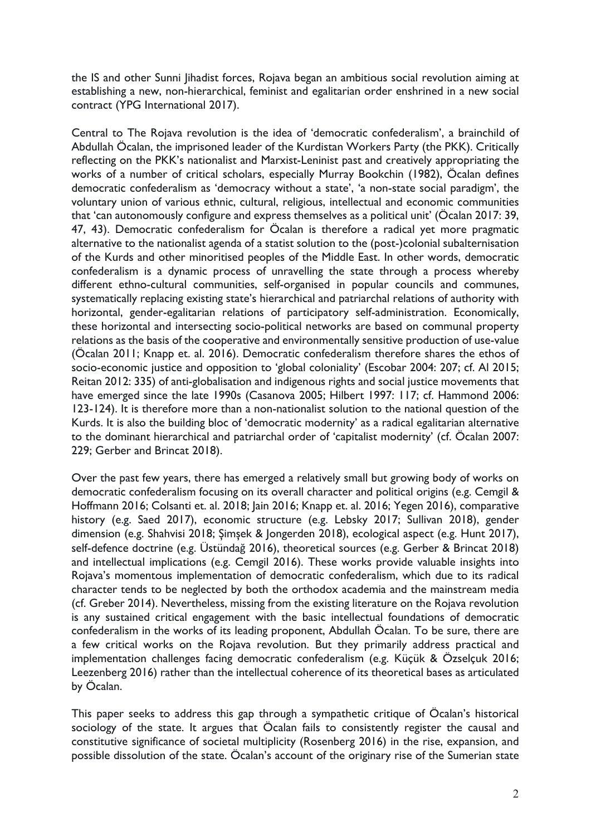the IS and other Sunni Jihadist forces, Rojava began an ambitious social revolution aiming at establishing a new, non-hierarchical, feminist and egalitarian order enshrined in a new social contract (YPG International 2017).

Central to The Rojava revolution is the idea of 'democratic confederalism', a brainchild of Abdullah Öcalan, the imprisoned leader of the Kurdistan Workers Party (the PKK). Critically reflecting on the PKK's nationalist and Marxist-Leninist past and creatively appropriating the works of a number of critical scholars, especially Murray Bookchin (1982), Öcalan defines democratic confederalism as 'democracy without a state', 'a non-state social paradigm', the voluntary union of various ethnic, cultural, religious, intellectual and economic communities that 'can autonomously configure and express themselves as a political unit' (Öcalan 2017: 39, 47, 43). Democratic confederalism for Öcalan is therefore a radical yet more pragmatic alternative to the nationalist agenda of a statist solution to the (post-)colonial subalternisation of the Kurds and other minoritised peoples of the Middle East. In other words, democratic confederalism is a dynamic process of unravelling the state through a process whereby different ethno-cultural communities, self-organised in popular councils and communes, systematically replacing existing state's hierarchical and patriarchal relations of authority with horizontal, gender-egalitarian relations of participatory self-administration. Economically, these horizontal and intersecting socio-political networks are based on communal property relations as the basis of the cooperative and environmentally sensitive production of use-value (Öcalan 2011; Knapp et. al. 2016). Democratic confederalism therefore shares the ethos of socio-economic justice and opposition to 'global coloniality' (Escobar 2004: 207; cf. Al 2015; Reitan 2012: 335) of anti-globalisation and indigenous rights and social justice movements that have emerged since the late 1990s (Casanova 2005; Hilbert 1997: 117; cf. Hammond 2006: 123-124). It is therefore more than a non-nationalist solution to the national question of the Kurds. It is also the building bloc of 'democratic modernity' as a radical egalitarian alternative to the dominant hierarchical and patriarchal order of 'capitalist modernity' (cf. Öcalan 2007: 229; Gerber and Brincat 2018).

Over the past few years, there has emerged a relatively small but growing body of works on democratic confederalism focusing on its overall character and political origins (e.g. Cemgil & Hoffmann 2016; Colsanti et. al. 2018; Jain 2016; Knapp et. al. 2016; Yegen 2016), comparative history (e.g. Saed 2017), economic structure (e.g. Lebsky 2017; Sullivan 2018), gender dimension (e.g. Shahvisi 2018; Şimşek & Jongerden 2018), ecological aspect (e.g. Hunt 2017), self-defence doctrine (e.g. Üstündağ 2016), theoretical sources (e.g. Gerber & Brincat 2018) and intellectual implications (e.g. Cemgil 2016). These works provide valuable insights into Rojava's momentous implementation of democratic confederalism, which due to its radical character tends to be neglected by both the orthodox academia and the mainstream media (cf. Greber 2014). Nevertheless, missing from the existing literature on the Rojava revolution is any sustained critical engagement with the basic intellectual foundations of democratic confederalism in the works of its leading proponent, Abdullah Öcalan. To be sure, there are a few critical works on the Rojava revolution. But they primarily address practical and implementation challenges facing democratic confederalism (e.g. Küçük & Özselçuk 2016; Leezenberg 2016) rather than the intellectual coherence of its theoretical bases as articulated by Öcalan.

This paper seeks to address this gap through a sympathetic critique of Öcalan's historical sociology of the state. It argues that Öcalan fails to consistently register the causal and constitutive significance of societal multiplicity (Rosenberg 2016) in the rise, expansion, and possible dissolution of the state. Öcalan's account of the originary rise of the Sumerian state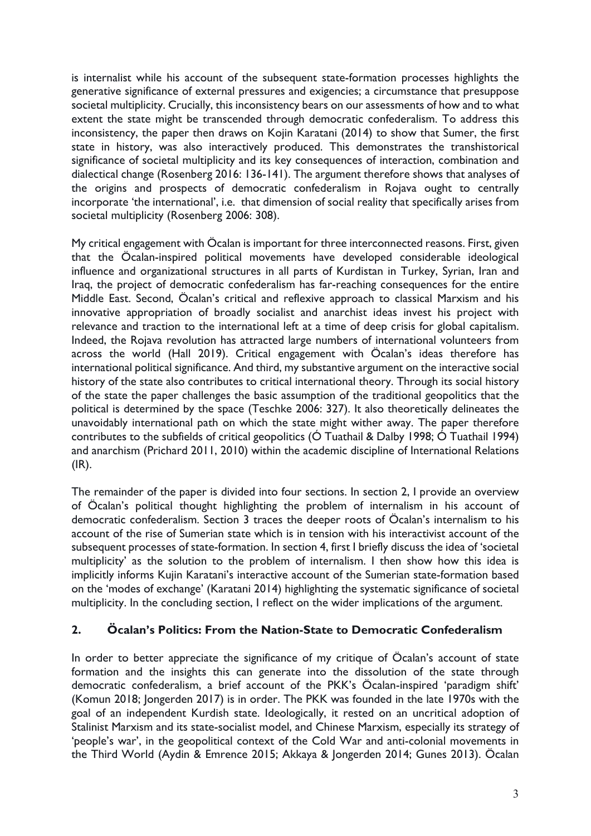is internalist while his account of the subsequent state-formation processes highlights the generative significance of external pressures and exigencies; a circumstance that presuppose societal multiplicity. Crucially, this inconsistency bears on our assessments of how and to what extent the state might be transcended through democratic confederalism. To address this inconsistency, the paper then draws on Kojin Karatani (2014) to show that Sumer, the first state in history, was also interactively produced. This demonstrates the transhistorical significance of societal multiplicity and its key consequences of interaction, combination and dialectical change (Rosenberg 2016: 136-141). The argument therefore shows that analyses of the origins and prospects of democratic confederalism in Rojava ought to centrally incorporate 'the international', i.e. that dimension of social reality that specifically arises from societal multiplicity (Rosenberg 2006: 308).

My critical engagement with Öcalan is important for three interconnected reasons. First, given that the Öcalan-inspired political movements have developed considerable ideological influence and organizational structures in all parts of Kurdistan in Turkey, Syrian, Iran and Iraq, the project of democratic confederalism has far-reaching consequences for the entire Middle East. Second, Öcalan's critical and reflexive approach to classical Marxism and his innovative appropriation of broadly socialist and anarchist ideas invest his project with relevance and traction to the international left at a time of deep crisis for global capitalism. Indeed, the Rojava revolution has attracted large numbers of international volunteers from across the world (Hall 2019). Critical engagement with Öcalan's ideas therefore has international political significance. And third, my substantive argument on the interactive social history of the state also contributes to critical international theory. Through its social history of the state the paper challenges the basic assumption of the traditional geopolitics that the political is determined by the space (Teschke 2006: 327). It also theoretically delineates the unavoidably international path on which the state might wither away. The paper therefore contributes to the subfields of critical geopolitics (Ó Tuathail & Dalby 1998; Ó Tuathail 1994) and anarchism (Prichard 2011, 2010) within the academic discipline of International Relations (IR).

The remainder of the paper is divided into four sections. In section 2, I provide an overview of Öcalan's political thought highlighting the problem of internalism in his account of democratic confederalism. Section 3 traces the deeper roots of Öcalan's internalism to his account of the rise of Sumerian state which is in tension with his interactivist account of the subsequent processes of state-formation. In section 4, first I briefly discuss the idea of 'societal multiplicity' as the solution to the problem of internalism. I then show how this idea is implicitly informs Kujin Karatani's interactive account of the Sumerian state-formation based on the 'modes of exchange' (Karatani 2014) highlighting the systematic significance of societal multiplicity. In the concluding section, I reflect on the wider implications of the argument.

# **2. Öcalan's Politics: From the Nation-State to Democratic Confederalism**

In order to better appreciate the significance of my critique of Öcalan's account of state formation and the insights this can generate into the dissolution of the state through democratic confederalism, a brief account of the PKK's Öcalan-inspired 'paradigm shift' (Komun 2018; Jongerden 2017) is in order. The PKK was founded in the late 1970s with the goal of an independent Kurdish state. Ideologically, it rested on an uncritical adoption of Stalinist Marxism and its state-socialist model, and Chinese Marxism, especially its strategy of 'people's war', in the geopolitical context of the Cold War and anti-colonial movements in the Third World (Aydin & Emrence 2015; Akkaya & Jongerden 2014; Gunes 2013). Öcalan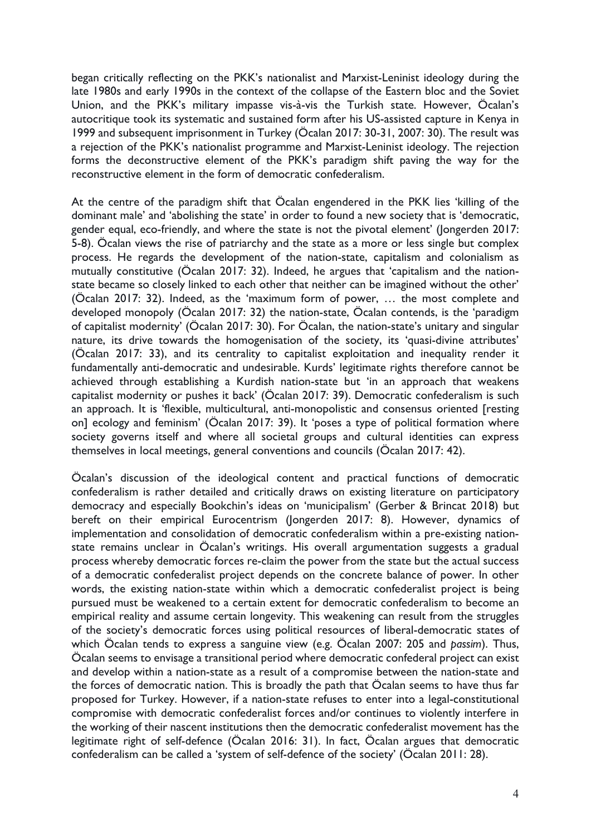began critically reflecting on the PKK's nationalist and Marxist-Leninist ideology during the late 1980s and early 1990s in the context of the collapse of the Eastern bloc and the Soviet Union, and the PKK's military impasse vis-à-vis the Turkish state. However, Öcalan's autocritique took its systematic and sustained form after his US-assisted capture in Kenya in 1999 and subsequent imprisonment in Turkey (Öcalan 2017: 30-31, 2007: 30). The result was a rejection of the PKK's nationalist programme and Marxist-Leninist ideology. The rejection forms the deconstructive element of the PKK's paradigm shift paving the way for the reconstructive element in the form of democratic confederalism.

At the centre of the paradigm shift that Öcalan engendered in the PKK lies 'killing of the dominant male' and 'abolishing the state' in order to found a new society that is 'democratic, gender equal, eco-friendly, and where the state is not the pivotal element' (Jongerden 2017: 5-8). Öcalan views the rise of patriarchy and the state as a more or less single but complex process. He regards the development of the nation-state, capitalism and colonialism as mutually constitutive (Öcalan 2017: 32). Indeed, he argues that 'capitalism and the nationstate became so closely linked to each other that neither can be imagined without the other' (Öcalan 2017: 32). Indeed, as the 'maximum form of power, … the most complete and developed monopoly (Öcalan 2017: 32) the nation-state, Öcalan contends, is the 'paradigm of capitalist modernity' (Öcalan 2017: 30). For Öcalan, the nation-state's unitary and singular nature, its drive towards the homogenisation of the society, its 'quasi-divine attributes' (Öcalan 2017: 33), and its centrality to capitalist exploitation and inequality render it fundamentally anti-democratic and undesirable. Kurds' legitimate rights therefore cannot be achieved through establishing a Kurdish nation-state but 'in an approach that weakens capitalist modernity or pushes it back' (Öcalan 2017: 39). Democratic confederalism is such an approach. It is 'flexible, multicultural, anti-monopolistic and consensus oriented [resting on] ecology and feminism' (Öcalan 2017: 39). It 'poses a type of political formation where society governs itself and where all societal groups and cultural identities can express themselves in local meetings, general conventions and councils (Öcalan 2017: 42).

Öcalan's discussion of the ideological content and practical functions of democratic confederalism is rather detailed and critically draws on existing literature on participatory democracy and especially Bookchin's ideas on 'municipalism' (Gerber & Brincat 2018) but bereft on their empirical Eurocentrism (Jongerden 2017: 8). However, dynamics of implementation and consolidation of democratic confederalism within a pre-existing nationstate remains unclear in Öcalan's writings. His overall argumentation suggests a gradual process whereby democratic forces re-claim the power from the state but the actual success of a democratic confederalist project depends on the concrete balance of power. In other words, the existing nation-state within which a democratic confederalist project is being pursued must be weakened to a certain extent for democratic confederalism to become an empirical reality and assume certain longevity. This weakening can result from the struggles of the society's democratic forces using political resources of liberal-democratic states of which Öcalan tends to express a sanguine view (e.g. Öcalan 2007: 205 and *passim*). Thus, Öcalan seems to envisage a transitional period where democratic confederal project can exist and develop within a nation-state as a result of a compromise between the nation-state and the forces of democratic nation. This is broadly the path that Öcalan seems to have thus far proposed for Turkey. However, if a nation-state refuses to enter into a legal-constitutional compromise with democratic confederalist forces and/or continues to violently interfere in the working of their nascent institutions then the democratic confederalist movement has the legitimate right of self-defence (Öcalan 2016: 31). In fact, Öcalan argues that democratic confederalism can be called a 'system of self-defence of the society' (Öcalan 2011: 28).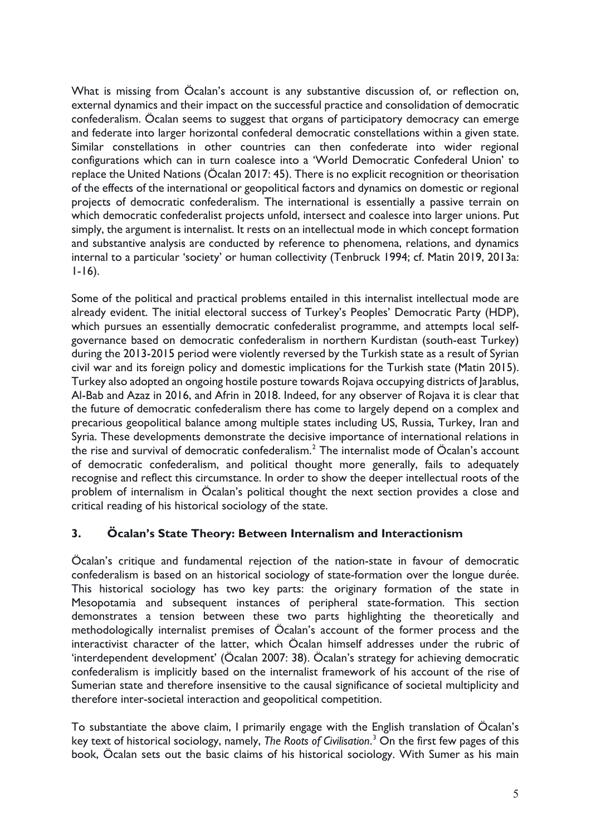What is missing from Öcalan's account is any substantive discussion of, or reflection on, external dynamics and their impact on the successful practice and consolidation of democratic confederalism. Öcalan seems to suggest that organs of participatory democracy can emerge and federate into larger horizontal confederal democratic constellations within a given state. Similar constellations in other countries can then confederate into wider regional configurations which can in turn coalesce into a 'World Democratic Confederal Union' to replace the United Nations (Öcalan 2017: 45). There is no explicit recognition or theorisation of the effects of the international or geopolitical factors and dynamics on domestic or regional projects of democratic confederalism. The international is essentially a passive terrain on which democratic confederalist projects unfold, intersect and coalesce into larger unions. Put simply, the argument is internalist. It rests on an intellectual mode in which concept formation and substantive analysis are conducted by reference to phenomena, relations, and dynamics internal to a particular 'society' or human collectivity (Tenbruck 1994; cf. Matin 2019, 2013a:  $1 - 16$ ).

Some of the political and practical problems entailed in this internalist intellectual mode are already evident. The initial electoral success of Turkey's Peoples' Democratic Party (HDP), which pursues an essentially democratic confederalist programme, and attempts local selfgovernance based on democratic confederalism in northern Kurdistan (south-east Turkey) during the 2013-2015 period were violently reversed by the Turkish state as a result of Syrian civil war and its foreign policy and domestic implications for the Turkish state (Matin 2015). Turkey also adopted an ongoing hostile posture towards Rojava occupying districts of Jarablus, Al-Bab and Azaz in 2016, and Afrin in 2018. Indeed, for any observer of Rojava it is clear that the future of democratic confederalism there has come to largely depend on a complex and precarious geopolitical balance among multiple states including US, Russia, Turkey, Iran and Syria. These developments demonstrate the decisive importance of international relations in the rise and survival of democratic confederalism.[2](#page-13-1) The internalist mode of Öcalan's account of democratic confederalism, and political thought more generally, fails to adequately recognise and reflect this circumstance. In order to show the deeper intellectual roots of the problem of internalism in Öcalan's political thought the next section provides a close and critical reading of his historical sociology of the state.

# **3. Öcalan's State Theory: Between Internalism and Interactionism**

Öcalan's critique and fundamental rejection of the nation-state in favour of democratic confederalism is based on an historical sociology of state-formation over the longue durée. This historical sociology has two key parts: the originary formation of the state in Mesopotamia and subsequent instances of peripheral state-formation. This section demonstrates a tension between these two parts highlighting the theoretically and methodologically internalist premises of Öcalan's account of the former process and the interactivist character of the latter, which Öcalan himself addresses under the rubric of 'interdependent development' (Öcalan 2007: 38). Öcalan's strategy for achieving democratic confederalism is implicitly based on the internalist framework of his account of the rise of Sumerian state and therefore insensitive to the causal significance of societal multiplicity and therefore inter-societal interaction and geopolitical competition.

To substantiate the above claim, I primarily engage with the English translation of Öcalan's key text of historical sociology, namely, *The Roots of Civilisation*. [3](#page-13-2) On the first few pages of this book, Öcalan sets out the basic claims of his historical sociology. With Sumer as his main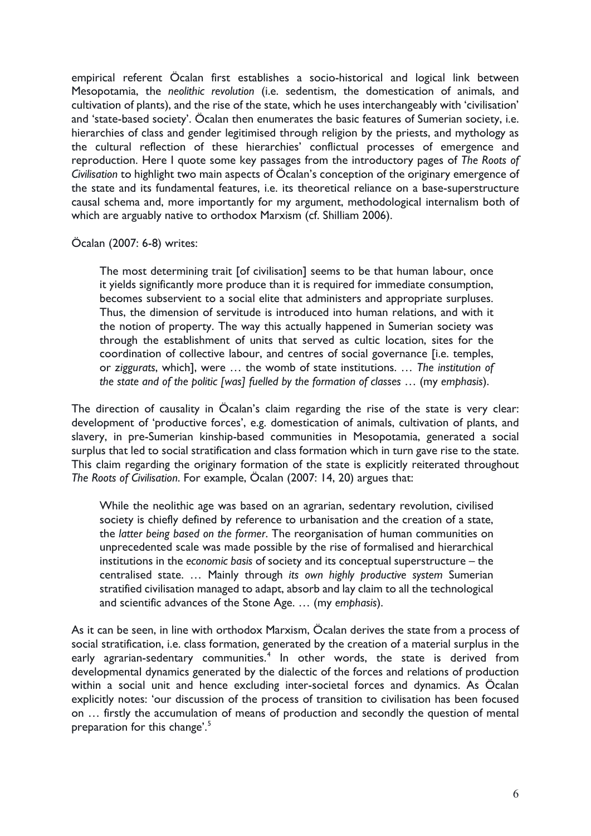empirical referent Öcalan first establishes a socio-historical and logical link between Mesopotamia, the *neolithic revolution* (i.e. sedentism, the domestication of animals, and cultivation of plants), and the rise of the state, which he uses interchangeably with 'civilisation' and 'state-based society'. Öcalan then enumerates the basic features of Sumerian society, i.e. hierarchies of class and gender legitimised through religion by the priests, and mythology as the cultural reflection of these hierarchies' conflictual processes of emergence and reproduction. Here I quote some key passages from the introductory pages of *The Roots of Civilisation* to highlight two main aspects of Öcalan's conception of the originary emergence of the state and its fundamental features, i.e. its theoretical reliance on a base-superstructure causal schema and, more importantly for my argument, methodological internalism both of which are arguably native to orthodox Marxism (cf. Shilliam 2006).

#### Öcalan (2007: 6-8) writes:

The most determining trait [of civilisation] seems to be that human labour, once it yields significantly more produce than it is required for immediate consumption, becomes subservient to a social elite that administers and appropriate surpluses. Thus, the dimension of servitude is introduced into human relations, and with it the notion of property. The way this actually happened in Sumerian society was through the establishment of units that served as cultic location, sites for the coordination of collective labour, and centres of social governance [i.e. temples, or *ziggurats*, which], were … the womb of state institutions. … *The institution of the state and of the politic [was] fuelled by the formation of classes* … (my *emphasis*).

The direction of causality in Öcalan's claim regarding the rise of the state is very clear: development of 'productive forces', e.g. domestication of animals, cultivation of plants, and slavery, in pre-Sumerian kinship-based communities in Mesopotamia, generated a social surplus that led to social stratification and class formation which in turn gave rise to the state. This claim regarding the originary formation of the state is explicitly reiterated throughout *The Roots of Civilisation*. For example, Öcalan (2007: 14, 20) argues that:

While the neolithic age was based on an agrarian, sedentary revolution, civilised society is chiefly defined by reference to urbanisation and the creation of a state, the *latter being based on the former*. The reorganisation of human communities on unprecedented scale was made possible by the rise of formalised and hierarchical institutions in the *economic basis* of society and its conceptual superstructure – the centralised state. … Mainly through *its own highly productive system* Sumerian stratified civilisation managed to adapt, absorb and lay claim to all the technological and scientific advances of the Stone Age. … (my *emphasis*).

As it can be seen, in line with orthodox Marxism, Öcalan derives the state from a process of social stratification, i.e. class formation, generated by the creation of a material surplus in the early agrarian-sedentary communities.<sup>[4](#page-13-3)</sup> In other words, the state is derived from developmental dynamics generated by the dialectic of the forces and relations of production within a social unit and hence excluding inter-societal forces and dynamics. As Öcalan explicitly notes: 'our discussion of the process of transition to civilisation has been focused on … firstly the accumulation of means of production and secondly the question of mental preparation for this change'.<sup>[5](#page-13-4)</sup>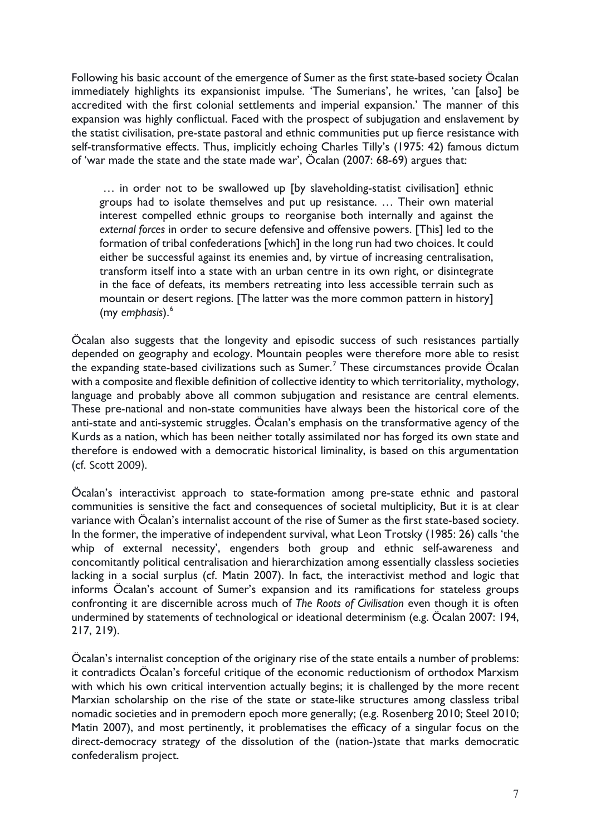Following his basic account of the emergence of Sumer as the first state-based society Öcalan immediately highlights its expansionist impulse. 'The Sumerians', he writes, 'can [also] be accredited with the first colonial settlements and imperial expansion.' The manner of this expansion was highly conflictual. Faced with the prospect of subjugation and enslavement by the statist civilisation, pre-state pastoral and ethnic communities put up fierce resistance with self-transformative effects. Thus, implicitly echoing Charles Tilly's (1975: 42) famous dictum of 'war made the state and the state made war', Öcalan (2007: 68-69) argues that:

… in order not to be swallowed up [by slaveholding-statist civilisation] ethnic groups had to isolate themselves and put up resistance. … Their own material interest compelled ethnic groups to reorganise both internally and against the *external forces* in order to secure defensive and offensive powers. [This] led to the formation of tribal confederations [which] in the long run had two choices. It could either be successful against its enemies and, by virtue of increasing centralisation, transform itself into a state with an urban centre in its own right, or disintegrate in the face of defeats, its members retreating into less accessible terrain such as mountain or desert regions. [The latter was the more common pattern in history] (my *emphasis*). [6](#page-13-5)

Öcalan also suggests that the longevity and episodic success of such resistances partially depended on geography and ecology. Mountain peoples were therefore more able to resist the expanding state-based civilizations such as Sumer. [7](#page-13-6) These circumstances provide Öcalan with a composite and flexible definition of collective identity to which territoriality, mythology, language and probably above all common subjugation and resistance are central elements. These pre-national and non-state communities have always been the historical core of the anti-state and anti-systemic struggles. Öcalan's emphasis on the transformative agency of the Kurds as a nation, which has been neither totally assimilated nor has forged its own state and therefore is endowed with a democratic historical liminality, is based on this argumentation (cf. Scott 2009).

Öcalan's interactivist approach to state-formation among pre-state ethnic and pastoral communities is sensitive the fact and consequences of societal multiplicity, But it is at clear variance with Öcalan's internalist account of the rise of Sumer as the first state-based society. In the former, the imperative of independent survival, what Leon Trotsky (1985: 26) calls 'the whip of external necessity', engenders both group and ethnic self-awareness and concomitantly political centralisation and hierarchization among essentially classless societies lacking in a social surplus (cf. Matin 2007). In fact, the interactivist method and logic that informs Öcalan's account of Sumer's expansion and its ramifications for stateless groups confronting it are discernible across much of *The Roots of Civilisation* even though it is often undermined by statements of technological or ideational determinism (e.g. Öcalan 2007: 194, 217, 219).

Öcalan's internalist conception of the originary rise of the state entails a number of problems: it contradicts Öcalan's forceful critique of the economic reductionism of orthodox Marxism with which his own critical intervention actually begins; it is challenged by the more recent Marxian scholarship on the rise of the state or state-like structures among classless tribal nomadic societies and in premodern epoch more generally; (e.g. Rosenberg 2010; Steel 2010; Matin 2007), and most pertinently, it problematises the efficacy of a singular focus on the direct-democracy strategy of the dissolution of the (nation-)state that marks democratic confederalism project.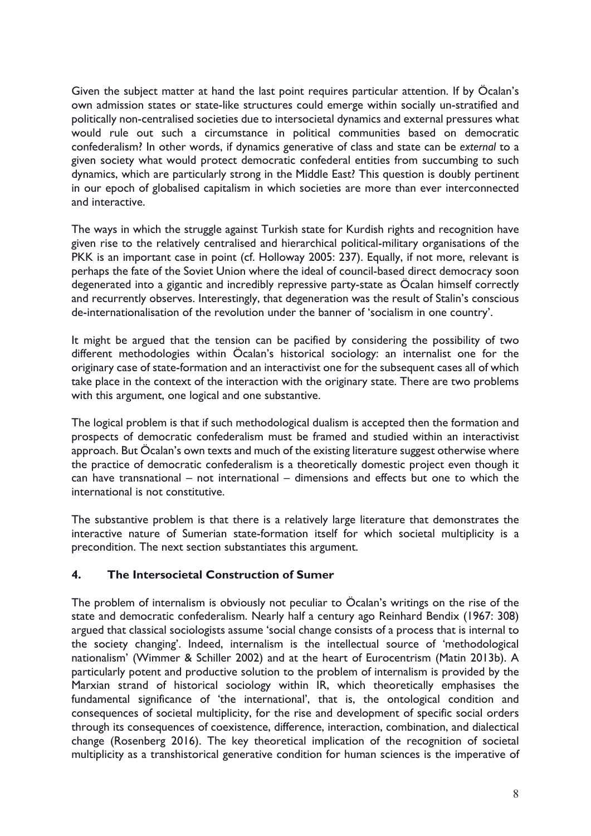Given the subject matter at hand the last point requires particular attention. If by Öcalan's own admission states or state-like structures could emerge within socially un-stratified and politically non-centralised societies due to intersocietal dynamics and external pressures what would rule out such a circumstance in political communities based on democratic confederalism? In other words, if dynamics generative of class and state can be *external* to a given society what would protect democratic confederal entities from succumbing to such dynamics, which are particularly strong in the Middle East? This question is doubly pertinent in our epoch of globalised capitalism in which societies are more than ever interconnected and interactive.

The ways in which the struggle against Turkish state for Kurdish rights and recognition have given rise to the relatively centralised and hierarchical political-military organisations of the PKK is an important case in point (cf. Holloway 2005: 237). Equally, if not more, relevant is perhaps the fate of the Soviet Union where the ideal of council-based direct democracy soon degenerated into a gigantic and incredibly repressive party-state as Öcalan himself correctly and recurrently observes. Interestingly, that degeneration was the result of Stalin's conscious de-internationalisation of the revolution under the banner of 'socialism in one country'.

It might be argued that the tension can be pacified by considering the possibility of two different methodologies within Öcalan's historical sociology: an internalist one for the originary case of state-formation and an interactivist one for the subsequent cases all of which take place in the context of the interaction with the originary state. There are two problems with this argument, one logical and one substantive.

The logical problem is that if such methodological dualism is accepted then the formation and prospects of democratic confederalism must be framed and studied within an interactivist approach. But Öcalan's own texts and much of the existing literature suggest otherwise where the practice of democratic confederalism is a theoretically domestic project even though it can have transnational – not international – dimensions and effects but one to which the international is not constitutive.

The substantive problem is that there is a relatively large literature that demonstrates the interactive nature of Sumerian state-formation itself for which societal multiplicity is a precondition. The next section substantiates this argument.

## **4. The Intersocietal Construction of Sumer**

The problem of internalism is obviously not peculiar to Öcalan's writings on the rise of the state and democratic confederalism. Nearly half a century ago Reinhard Bendix (1967: 308) argued that classical sociologists assume 'social change consists of a process that is internal to the society changing'. Indeed, internalism is the intellectual source of 'methodological nationalism' (Wimmer & Schiller 2002) and at the heart of Eurocentrism (Matin 2013b). A particularly potent and productive solution to the problem of internalism is provided by the Marxian strand of historical sociology within IR, which theoretically emphasises the fundamental significance of 'the international', that is, the ontological condition and consequences of societal multiplicity, for the rise and development of specific social orders through its consequences of coexistence, difference, interaction, combination, and dialectical change (Rosenberg 2016). The key theoretical implication of the recognition of societal multiplicity as a transhistorical generative condition for human sciences is the imperative of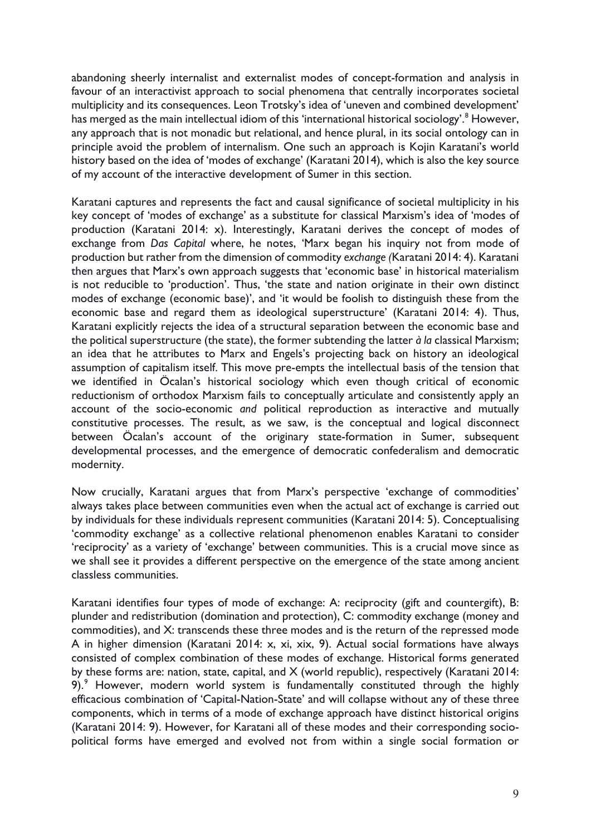abandoning sheerly internalist and externalist modes of concept-formation and analysis in favour of an interactivist approach to social phenomena that centrally incorporates societal multiplicity and its consequences. Leon Trotsky's idea of 'uneven and combined development' has merged as the main intellectual idiom of this 'international historical sociology'.<sup>[8](#page-13-7)</sup> However, any approach that is not monadic but relational, and hence plural, in its social ontology can in principle avoid the problem of internalism. One such an approach is Kojin Karatani's world history based on the idea of 'modes of exchange' (Karatani 2014), which is also the key source of my account of the interactive development of Sumer in this section.

Karatani captures and represents the fact and causal significance of societal multiplicity in his key concept of 'modes of exchange' as a substitute for classical Marxism's idea of 'modes of production (Karatani 2014: x). Interestingly, Karatani derives the concept of modes of exchange from *Das Capital* where, he notes, 'Marx began his inquiry not from mode of production but rather from the dimension of commodity *exchange (*Karatani 2014: 4). Karatani then argues that Marx's own approach suggests that 'economic base' in historical materialism is not reducible to 'production'. Thus, 'the state and nation originate in their own distinct modes of exchange (economic base)', and 'it would be foolish to distinguish these from the economic base and regard them as ideological superstructure' (Karatani 2014: 4). Thus, Karatani explicitly rejects the idea of a structural separation between the economic base and the political superstructure (the state), the former subtending the latter *à la* classical Marxism; an idea that he attributes to Marx and Engels's projecting back on history an ideological assumption of capitalism itself. This move pre-empts the intellectual basis of the tension that we identified in Öcalan's historical sociology which even though critical of economic reductionism of orthodox Marxism fails to conceptually articulate and consistently apply an account of the socio-economic *and* political reproduction as interactive and mutually constitutive processes. The result, as we saw, is the conceptual and logical disconnect between Öcalan's account of the originary state-formation in Sumer, subsequent developmental processes, and the emergence of democratic confederalism and democratic modernity.

Now crucially, Karatani argues that from Marx's perspective 'exchange of commodities' always takes place between communities even when the actual act of exchange is carried out by individuals for these individuals represent communities (Karatani 2014: 5). Conceptualising 'commodity exchange' as a collective relational phenomenon enables Karatani to consider 'reciprocity' as a variety of 'exchange' between communities. This is a crucial move since as we shall see it provides a different perspective on the emergence of the state among ancient classless communities.

Karatani identifies four types of mode of exchange: A: reciprocity (gift and countergift), B: plunder and redistribution (domination and protection), C: commodity exchange (money and commodities), and X: transcends these three modes and is the return of the repressed mode A in higher dimension (Karatani 2014: x, xi, xix, 9). Actual social formations have always consisted of complex combination of these modes of exchange. Historical forms generated by these forms are: nation, state, capital, and X (world republic), respectively (Karatani 2014:  $9$ .<sup>9</sup> However, modern world system is fundamentally constituted through the highly efficacious combination of 'Capital-Nation-State' and will collapse without any of these three components, which in terms of a mode of exchange approach have distinct historical origins (Karatani 2014: 9). However, for Karatani all of these modes and their corresponding sociopolitical forms have emerged and evolved not from within a single social formation or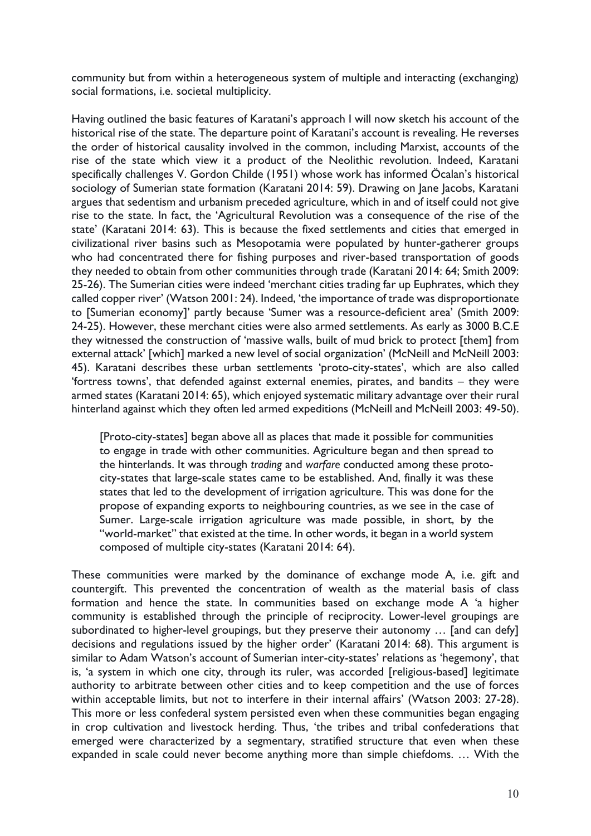community but from within a heterogeneous system of multiple and interacting (exchanging) social formations, i.e. societal multiplicity.

Having outlined the basic features of Karatani's approach I will now sketch his account of the historical rise of the state. The departure point of Karatani's account is revealing. He reverses the order of historical causality involved in the common, including Marxist, accounts of the rise of the state which view it a product of the Neolithic revolution. Indeed, Karatani specifically challenges V. Gordon Childe (1951) whose work has informed Öcalan's historical sociology of Sumerian state formation (Karatani 2014: 59). Drawing on Jane Jacobs, Karatani argues that sedentism and urbanism preceded agriculture, which in and of itself could not give rise to the state. In fact, the 'Agricultural Revolution was a consequence of the rise of the state' (Karatani 2014: 63). This is because the fixed settlements and cities that emerged in civilizational river basins such as Mesopotamia were populated by hunter-gatherer groups who had concentrated there for fishing purposes and river-based transportation of goods they needed to obtain from other communities through trade (Karatani 2014: 64; Smith 2009: 25-26). The Sumerian cities were indeed 'merchant cities trading far up Euphrates, which they called copper river' (Watson 2001: 24). Indeed, 'the importance of trade was disproportionate to [Sumerian economy]' partly because 'Sumer was a resource-deficient area' (Smith 2009: 24-25). However, these merchant cities were also armed settlements. As early as 3000 B.C.E they witnessed the construction of 'massive walls, built of mud brick to protect [them] from external attack' [which] marked a new level of social organization' (McNeill and McNeill 2003: 45). Karatani describes these urban settlements 'proto-city-states', which are also called 'fortress towns', that defended against external enemies, pirates, and bandits – they were armed states (Karatani 2014: 65), which enjoyed systematic military advantage over their rural hinterland against which they often led armed expeditions (McNeill and McNeill 2003: 49-50).

[Proto-city-states] began above all as places that made it possible for communities to engage in trade with other communities. Agriculture began and then spread to the hinterlands. It was through *trading* and *warfare* conducted among these protocity-states that large-scale states came to be established. And, finally it was these states that led to the development of irrigation agriculture. This was done for the propose of expanding exports to neighbouring countries, as we see in the case of Sumer. Large-scale irrigation agriculture was made possible, in short, by the "world-market" that existed at the time. In other words, it began in a world system composed of multiple city-states (Karatani 2014: 64).

These communities were marked by the dominance of exchange mode A, i.e. gift and countergift. This prevented the concentration of wealth as the material basis of class formation and hence the state. In communities based on exchange mode A 'a higher community is established through the principle of reciprocity. Lower-level groupings are subordinated to higher-level groupings, but they preserve their autonomy ... [and can defy] decisions and regulations issued by the higher order' (Karatani 2014: 68). This argument is similar to Adam Watson's account of Sumerian inter-city-states' relations as 'hegemony', that is, 'a system in which one city, through its ruler, was accorded [religious-based] legitimate authority to arbitrate between other cities and to keep competition and the use of forces within acceptable limits, but not to interfere in their internal affairs' (Watson 2003: 27-28). This more or less confederal system persisted even when these communities began engaging in crop cultivation and livestock herding. Thus, 'the tribes and tribal confederations that emerged were characterized by a segmentary, stratified structure that even when these expanded in scale could never become anything more than simple chiefdoms. … With the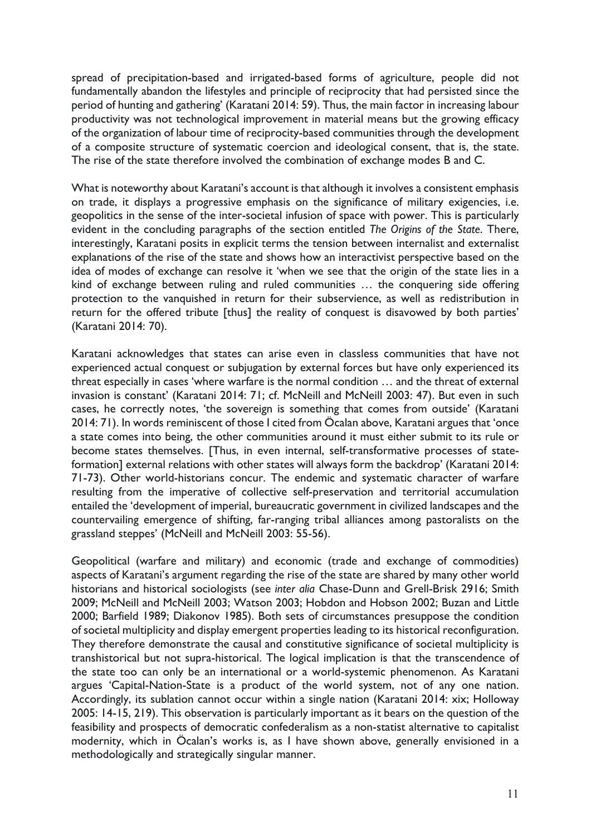spread of precipitation-based and irrigated-based forms of agriculture, people did not fundamentally abandon the lifestyles and principle of reciprocity that had persisted since the period of hunting and gathering' (Karatani 2014: 59). Thus, the main factor in increasing labour productivity was not technological improvement in material means but the growing efficacy of the organization of labour time of reciprocity-based communities through the development of a composite structure of systematic coercion and ideological consent, that is, the state. The rise of the state therefore involved the combination of exchange modes B and C.

What is noteworthy about Karatani's account is that although it involves a consistent emphasis on trade, it displays a progressive emphasis on the significance of military exigencies, i.e. geopolitics in the sense of the inter-societal infusion of space with power. This is particularly evident in the concluding paragraphs of the section entitled *The Origins of the State*. There, interestingly, Karatani posits in explicit terms the tension between internalist and externalist explanations of the rise of the state and shows how an interactivist perspective based on the idea of modes of exchange can resolve it 'when we see that the origin of the state lies in a kind of exchange between ruling and ruled communities … the conquering side offering protection to the vanquished in return for their subservience, as well as redistribution in return for the offered tribute [thus] the reality of conquest is disavowed by both parties' (Karatani 2014: 70).

Karatani acknowledges that states can arise even in classless communities that have not experienced actual conquest or subjugation by external forces but have only experienced its threat especially in cases 'where warfare is the normal condition … and the threat of external invasion is constant' (Karatani 2014: 71; cf. McNeill and McNeill 2003: 47). But even in such cases, he correctly notes, 'the sovereign is something that comes from outside' (Karatani 2014: 71). In words reminiscent of those I cited from Öcalan above, Karatani argues that 'once a state comes into being, the other communities around it must either submit to its rule or become states themselves. [Thus, in even internal, self-transformative processes of stateformation] external relations with other states will always form the backdrop' (Karatani 2014: 71-73). Other world-historians concur. The endemic and systematic character of warfare resulting from the imperative of collective self-preservation and territorial accumulation entailed the 'development of imperial, bureaucratic government in civilized landscapes and the countervailing emergence of shifting, far-ranging tribal alliances among pastoralists on the grassland steppes' (McNeill and McNeill 2003: 55-56).

Geopolitical (warfare and military) and economic (trade and exchange of commodities) aspects of Karatani's argument regarding the rise of the state are shared by many other world historians and historical sociologists (see *inter alia* Chase-Dunn and Grell-Brisk 2916; Smith 2009; McNeill and McNeill 2003; Watson 2003; Hobdon and Hobson 2002; Buzan and Little 2000; Barfield 1989; Diakonov 1985). Both sets of circumstances presuppose the condition of societal multiplicity and display emergent properties leading to its historical reconfiguration. They therefore demonstrate the causal and constitutive significance of societal multiplicity is transhistorical but not supra-historical. The logical implication is that the transcendence of the state too can only be an international or a world-systemic phenomenon. As Karatani argues 'Capital-Nation-State is a product of the world system, not of any one nation. Accordingly, its sublation cannot occur within a single nation (Karatani 2014: xix; Holloway 2005: 14-15, 219). This observation is particularly important as it bears on the question of the feasibility and prospects of democratic confederalism as a non-statist alternative to capitalist modernity, which in Öcalan's works is, as I have shown above, generally envisioned in a methodologically and strategically singular manner.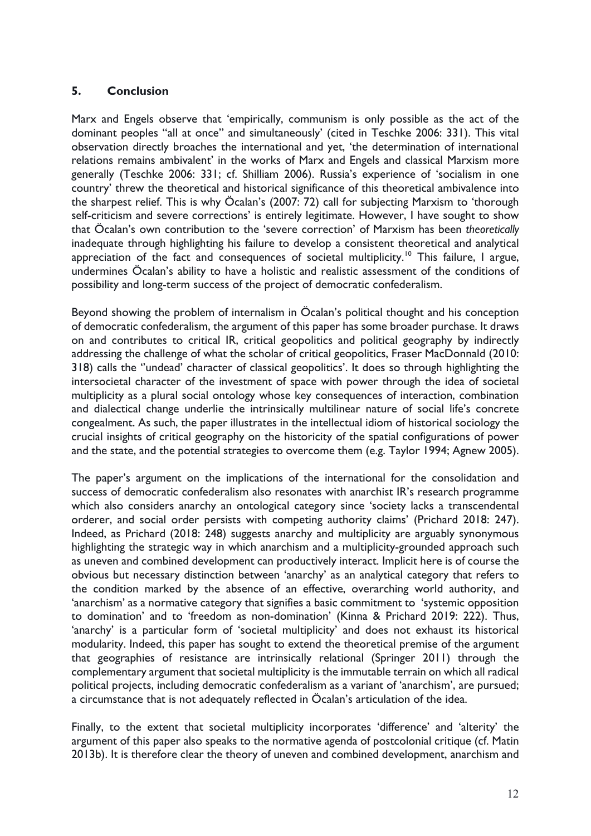## **5. Conclusion**

Marx and Engels observe that 'empirically, communism is only possible as the act of the dominant peoples "all at once" and simultaneously' (cited in Teschke 2006: 331). This vital observation directly broaches the international and yet, 'the determination of international relations remains ambivalent' in the works of Marx and Engels and classical Marxism more generally (Teschke 2006: 331; cf. Shilliam 2006). Russia's experience of 'socialism in one country' threw the theoretical and historical significance of this theoretical ambivalence into the sharpest relief. This is why Öcalan's (2007: 72) call for subjecting Marxism to 'thorough self-criticism and severe corrections' is entirely legitimate. However, I have sought to show that Öcalan's own contribution to the 'severe correction' of Marxism has been *theoretically* inadequate through highlighting his failure to develop a consistent theoretical and analytical appreciation of the fact and consequences of societal multiplicity.<sup>[10](#page-13-9)</sup> This failure, I argue, undermines Öcalan's ability to have a holistic and realistic assessment of the conditions of possibility and long-term success of the project of democratic confederalism.

Beyond showing the problem of internalism in Öcalan's political thought and his conception of democratic confederalism, the argument of this paper has some broader purchase. It draws on and contributes to critical IR, critical geopolitics and political geography by indirectly addressing the challenge of what the scholar of critical geopolitics, Fraser MacDonnald (2010: 318) calls the ''undead' character of classical geopolitics'. It does so through highlighting the intersocietal character of the investment of space with power through the idea of societal multiplicity as a plural social ontology whose key consequences of interaction, combination and dialectical change underlie the intrinsically multilinear nature of social life's concrete congealment. As such, the paper illustrates in the intellectual idiom of historical sociology the crucial insights of critical geography on the historicity of the spatial configurations of power and the state, and the potential strategies to overcome them (e.g. Taylor 1994; Agnew 2005).

The paper's argument on the implications of the international for the consolidation and success of democratic confederalism also resonates with anarchist IR's research programme which also considers anarchy an ontological category since 'society lacks a transcendental orderer, and social order persists with competing authority claims' (Prichard 2018: 247). Indeed, as Prichard (2018: 248) suggests anarchy and multiplicity are arguably synonymous highlighting the strategic way in which anarchism and a multiplicity-grounded approach such as uneven and combined development can productively interact. Implicit here is of course the obvious but necessary distinction between 'anarchy' as an analytical category that refers to the condition marked by the absence of an effective, overarching world authority, and 'anarchism' as a normative category that signifies a basic commitment to 'systemic opposition to domination' and to 'freedom as non-domination' (Kinna & Prichard 2019: 222). Thus, 'anarchy' is a particular form of 'societal multiplicity' and does not exhaust its historical modularity. Indeed, this paper has sought to extend the theoretical premise of the argument that geographies of resistance are intrinsically relational (Springer 2011) through the complementary argument that societal multiplicity is the immutable terrain on which all radical political projects, including democratic confederalism as a variant of 'anarchism', are pursued; a circumstance that is not adequately reflected in Öcalan's articulation of the idea.

Finally, to the extent that societal multiplicity incorporates 'difference' and 'alterity' the argument of this paper also speaks to the normative agenda of postcolonial critique (cf. Matin 2013b). It is therefore clear the theory of uneven and combined development, anarchism and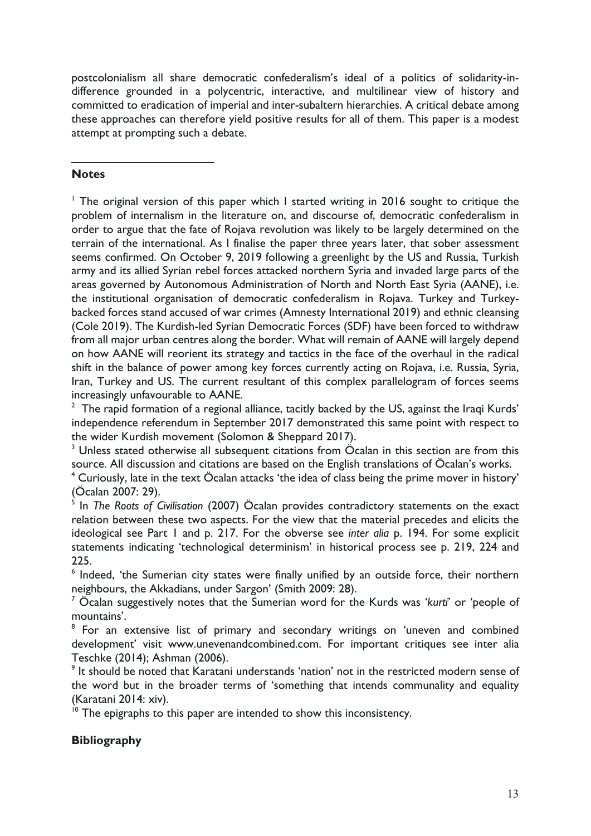postcolonialism all share democratic confederalism's ideal of a politics of solidarity-indifference grounded in a polycentric, interactive, and multilinear view of history and committed to eradication of imperial and inter-subaltern hierarchies. A critical debate among these approaches can therefore yield positive results for all of them. This paper is a modest attempt at prompting such a debate.

#### <span id="page-13-0"></span>**Notes**  $\overline{a}$

<sup>1</sup> The original version of this paper which I started writing in 2016 sought to critique the problem of internalism in the literature on, and discourse of, democratic confederalism in order to argue that the fate of Rojava revolution was likely to be largely determined on the terrain of the international. As I finalise the paper three years later, that sober assessment seems confirmed. On October 9, 2019 following a greenlight by the US and Russia, Turkish army and its allied Syrian rebel forces attacked northern Syria and invaded large parts of the areas governed by Autonomous Administration of North and North East Syria (AANE), i.e. the institutional organisation of democratic confederalism in Rojava. Turkey and Turkeybacked forces stand accused of war crimes (Amnesty International 2019) and ethnic cleansing (Cole 2019). The Kurdish-led Syrian Democratic Forces (SDF) have been forced to withdraw from all major urban centres along the border. What will remain of AANE will largely depend on how AANE will reorient its strategy and tactics in the face of the overhaul in the radical shift in the balance of power among key forces currently acting on Rojava, i.e. Russia, Syria, Iran, Turkey and US. The current resultant of this complex parallelogram of forces seems increasingly unfavourable to AANE.

<span id="page-13-1"></span> $2$  The rapid formation of a regional alliance, tacitly backed by the US, against the Iraqi Kurds' independence referendum in September 2017 demonstrated this same point with respect to the wider Kurdish movement (Solomon & Sheppard 2017).

<span id="page-13-2"></span><sup>3</sup> Unless stated otherwise all subsequent citations from Öcalan in this section are from this source. All discussion and citations are based on the English translations of Öcalan's works.

<span id="page-13-3"></span><sup>4</sup> Curiously, late in the text Öcalan attacks 'the idea of class being the prime mover in history' (Öcalan 2007: 29).

<span id="page-13-4"></span><sup>5</sup> In *The Roots of Civilisation* (2007) Öcalan provides contradictory statements on the exact relation between these two aspects. For the view that the material precedes and elicits the ideological see Part 1 and p. 217. For the obverse see *inter alia* p. 194. For some explicit statements indicating 'technological determinism' in historical process see p. 219, 224 and 225.

<span id="page-13-5"></span><sup>6</sup> Indeed, 'the Sumerian city states were finally unified by an outside force, their northern neighbours, the Akkadians, under Sargon' (Smith 2009: 28).

<span id="page-13-6"></span><sup>7</sup> Öcalan suggestively notes that the Sumerian word for the Kurds was '*kurti*' or 'people of mountains'.

<span id="page-13-7"></span><sup>8</sup> For an extensive list of primary and secondary writings on 'uneven and combined development' visit www.unevenandcombined.com. For important critiques see inter alia Teschke (2014); Ashman (2006).

<span id="page-13-8"></span><sup>9</sup> It should be noted that Karatani understands 'nation' not in the restricted modern sense of the word but in the broader terms of 'something that intends communality and equality (Karatani 2014: xiv).

<span id="page-13-9"></span> $10$  The epigraphs to this paper are intended to show this inconsistency.

# **Bibliography**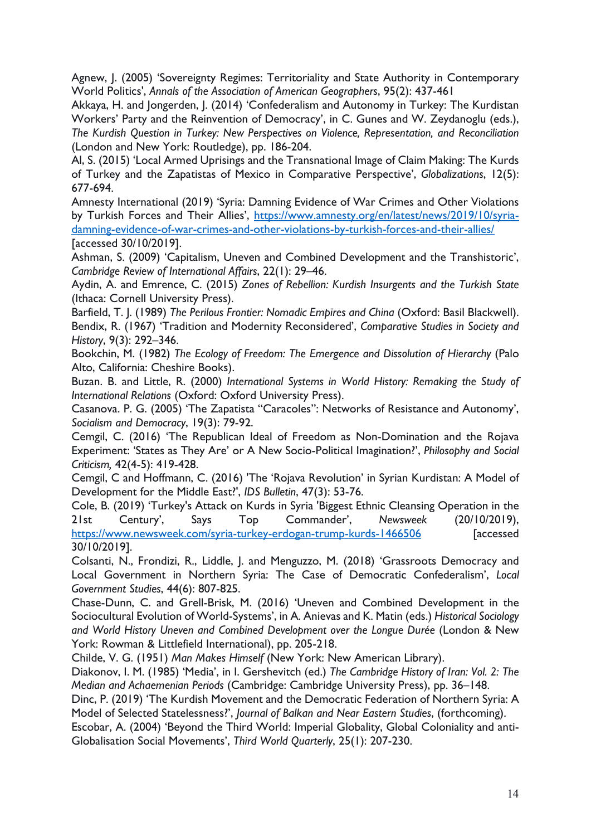Agnew, J. (2005) 'Sovereignty Regimes: Territoriality and State Authority in Contemporary World Politics', *Annals of the Association of American Geographers*, 95(2): 437-461

Akkaya, H. and Jongerden, J. (2014) 'Confederalism and Autonomy in Turkey: The Kurdistan Workers' Party and the Reinvention of Democracy', in C. Gunes and W. Zeydanoglu (eds.), *The Kurdish Question in Turkey: New Perspectives on Violence, Representation, and Reconciliation* (London and New York: Routledge), pp. 186-204.

Al, S. (2015) 'Local Armed Uprisings and the Transnational Image of Claim Making: The Kurds of Turkey and the Zapatistas of Mexico in Comparative Perspective', *Globalizations*, 12(5): 677-694.

Amnesty International (2019) 'Syria: Damning Evidence of War Crimes and Other Violations by Turkish Forces and Their Allies', [https://www.amnesty.org/en/latest/news/2019/10/syria](https://www.amnesty.org/en/latest/news/2019/10/syria-damning-evidence-of-war-crimes-and-other-violations-by-turkish-forces-and-their-allies/)[damning-evidence-of-war-crimes-and-other-violations-by-turkish-forces-and-their-allies/](https://www.amnesty.org/en/latest/news/2019/10/syria-damning-evidence-of-war-crimes-and-other-violations-by-turkish-forces-and-their-allies/) [accessed 30/10/2019].

Ashman, S. (2009) 'Capitalism, Uneven and Combined Development and the Transhistoric', *Cambridge Review of International Affairs*, 22(1): 29–46.

Aydin, A. and Emrence, C. (2015) *Zones of Rebellion: Kurdish Insurgents and the Turkish State* (Ithaca: Cornell University Press).

Barfield, T. J. (1989) *The Perilous Frontier: Nomadic Empires and China* (Oxford: Basil Blackwell). Bendix, R. (1967) 'Tradition and Modernity Reconsidered', *Comparative Studies in Society and History*, 9(3): 292–346.

Bookchin, M. (1982) *The Ecology of Freedom: The Emergence and Dissolution of Hierarchy* (Palo Alto, California: Cheshire Books).

Buzan. B. and Little, R. (2000) *International Systems in World History: Remaking the Study of International Relations* (Oxford: Oxford University Press).

Casanova. P. G. (2005) 'The Zapatista "Caracoles": Networks of Resistance and Autonomy', *Socialism and Democracy*, 19(3): 79-92.

Cemgil, C. (2016) 'The Republican Ideal of Freedom as Non-Domination and the Rojava Experiment: 'States as They Are' or A New Socio-Political Imagination?', *Philosophy and Social Criticism,* 42(4-5): 419-428.

Cemgil, C and Hoffmann, C. (2016) 'The 'Rojava Revolution' in Syrian Kurdistan: A Model of Development for the Middle East?', *IDS Bulletin*, 47(3): 53-76.

Cole, B. (2019) 'Turkey's Attack on Kurds in Syria 'Biggest Ethnic Cleansing Operation in the 21st Century', Says Top Commander', *Newsweek* (20/10/2019), <https://www.newsweek.com/syria-turkey-erdogan-trump-kurds-1466506> [accessed] 30/10/2019].

Colsanti, N., Frondizi, R., Liddle, J. and Menguzzo, M. (2018) 'Grassroots Democracy and Local Government in Northern Syria: The Case of Democratic Confederalism', *Local Government Studies*, 44(6): 807-825.

Chase-Dunn, C. and Grell-Brisk, M. (2016) 'Uneven and Combined Development in the Sociocultural Evolution of World-Systems', in A. Anievas and K. Matin (eds.) *Historical Sociology and World History Uneven and Combined Development over the Longue Durée* (London & New York: Rowman & Littlefield International), pp. 205-218.

Childe, V. G. (1951) *Man Makes Himself* (New York: New American Library).

Diakonov, I. M. (1985) 'Media', in I. Gershevitch (ed.) *The Cambridge History of Iran: Vol. 2: The Median and Achaemenian Periods* (Cambridge: Cambridge University Press), pp. 36–148.

Dinc, P. (2019) 'The Kurdish Movement and the Democratic Federation of Northern Syria: A Model of Selected Statelessness?', *Journal of Balkan and Near Eastern Studies*, (forthcoming).

Escobar, A. (2004) 'Beyond the Third World: Imperial Globality, Global Coloniality and anti-Globalisation Social Movements', *Third World Quarterly*, 25(1): 207-230.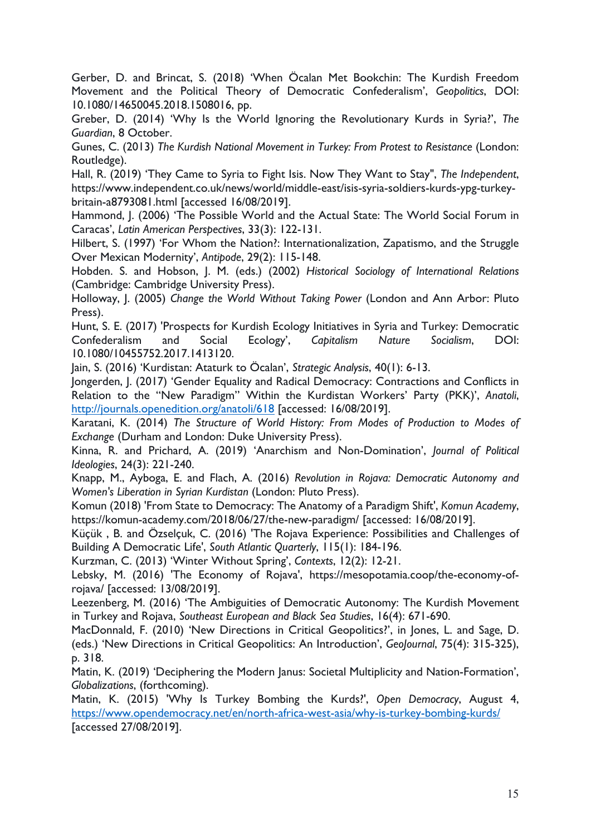Gerber, D. and Brincat, S. (2018) 'When Öcalan Met Bookchin: The Kurdish Freedom Movement and the Political Theory of Democratic Confederalism', *Geopolitics*, DOI: 10.1080/14650045.2018.1508016, pp.

Greber, D. (2014) 'Why Is the World Ignoring the Revolutionary Kurds in Syria?', *The Guardian*, 8 October.

Gunes, C. (2013) *The Kurdish National Movement in Turkey: From Protest to Resistance* (London: Routledge).

Hall, R. (2019) 'They Came to Syria to Fight Isis. Now They Want to Stay", *The Independent*, https://www.independent.co.uk/news/world/middle-east/isis-syria-soldiers-kurds-ypg-turkeybritain-a8793081.html [accessed 16/08/2019].

Hammond, J. (2006) 'The Possible World and the Actual State: The World Social Forum in Caracas', *Latin American Perspectives*, 33(3): 122-131.

Hilbert, S. (1997) 'For Whom the Nation?: Internationalization, Zapatismo, and the Struggle Over Mexican Modernity', *Antipode*, 29(2): 115-148.

Hobden. S. and Hobson, J. M. (eds.) (2002) *Historical Sociology of International Relations*  (Cambridge: Cambridge University Press).

Holloway, J. (2005) *Change the World Without Taking Power* (London and Ann Arbor: Pluto Press).

Hunt, S. E. (2017) 'Prospects for Kurdish Ecology Initiatives in Syria and Turkey: Democratic Confederalism and Social Ecology', *Capitalism Nature Socialism*, DOI: 10.1080/10455752.2017.1413120.

Jain, S. (2016) 'Kurdistan: Ataturk to Öcalan', *Strategic Analysis*, 40(1): 6-13.

Jongerden, J. (2017) 'Gender Equality and Radical Democracy: Contractions and Conflicts in Relation to the "New Paradigm" Within the Kurdistan Workers' Party (PKK)', *Anatoli*, <http://journals.openedition.org/anatoli/618> [accessed: 16/08/2019].

Karatani, K. (2014) *The Structure of World History: From Modes of Production to Modes of Exchange* (Durham and London: Duke University Press).

Kinna, R. and Prichard, A. (2019) 'Anarchism and Non-Domination', *Journal of Political Ideologies*, 24(3): 221-240.

Knapp, M., Ayboga, E. and Flach, A. (2016) *Revolution in Rojava: Democratic Autonomy and Women's Liberation in Syrian Kurdistan* (London: Pluto Press).

Komun (2018) 'From State to Democracy: The Anatomy of a Paradigm Shift', *Komun Academy*, https://komun-academy.com/2018/06/27/the-new-paradigm/ [accessed: 16/08/2019].

Küçük , B. and Özselçuk, C. (2016) 'The Rojava Experience: Possibilities and Challenges of Building A Democratic Life', *South Atlantic Quarterly*, 115(1): 184-196.

Kurzman, C. (2013) 'Winter Without Spring', *Contexts*, 12(2): 12-21.

Lebsky, M. (2016) 'The Economy of Rojava', https://mesopotamia.coop/the-economy-ofrojava/ [accessed: 13/08/2019].

Leezenberg, M. (2016) 'The Ambiguities of Democratic Autonomy: The Kurdish Movement in Turkey and Rojava, *Southeast European and Black Sea Studies*, 16(4): 671-690.

MacDonnald, F. (2010) 'New Directions in Critical Geopolitics?', in Jones, L. and Sage, D. (eds.) 'New Directions in Critical Geopolitics: An Introduction', *GeoJournal*, 75(4): 315-325), p. 318.

Matin, K. (2019) 'Deciphering the Modern Janus: Societal Multiplicity and Nation-Formation', *Globalizations*, (forthcoming).

Matin, K. (2015) 'Why Is Turkey Bombing the Kurds?', *Open Democracy*, August 4, <https://www.opendemocracy.net/en/north-africa-west-asia/why-is-turkey-bombing-kurds/> [accessed 27/08/2019].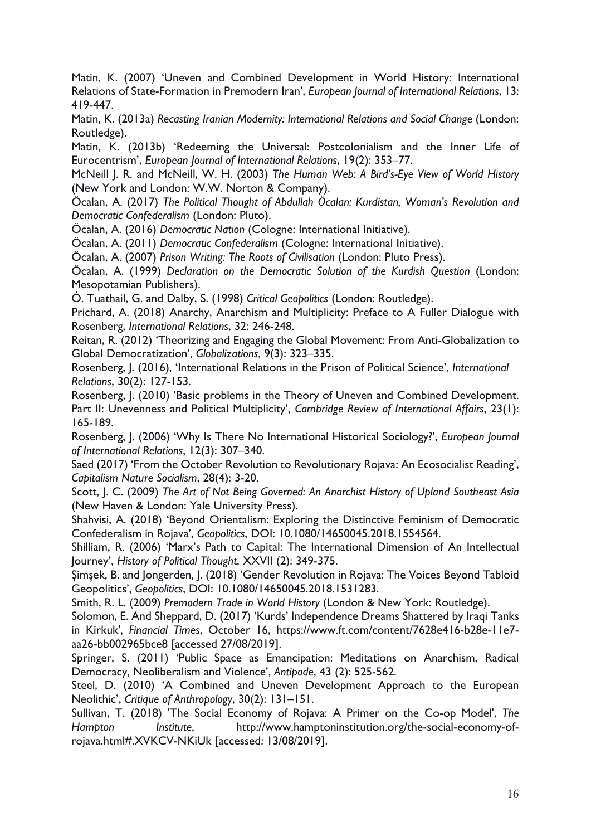Matin, K. (2007) 'Uneven and Combined Development in World History: International Relations of State-Formation in Premodern Iran', *European Journal of International Relations*, 13: 419-447.

Matin, K. (2013a) *Recasting Iranian Modernity: International Relations and Social Change* (London: Routledge).

Matin, K. (2013b) 'Redeeming the Universal: Postcolonialism and the Inner Life of Eurocentrism', *European Journal of International Relations*, 19(2): 353–77.

McNeill J. R. and McNeill, W. H. (2003) *The Human Web: A Bird's-Eye View of World History* (New York and London: W.W. Norton & Company).

Öcalan, A. (2017) *The Political Thought of Abdullah Öcalan: Kurdistan, Woman's Revolution and Democratic Confederalism* (London: Pluto).

Öcalan, A. (2016) *Democratic Nation* (Cologne: International Initiative).

Öcalan, A. (2011) *Democratic Confederalism* (Cologne: International Initiative).

Öcalan, A. (2007) *Prison Writing: The Roots of Civilisation* (London: Pluto Press).

Öcalan, A. (1999) *Declaration on the Democratic Solution of the Kurdish Question* (London: Mesopotamian Publishers).

Ó. Tuathail, G. and Dalby, S. (1998) *Critical Geopolitics* (London: Routledge).

Prichard, A. (2018) Anarchy, Anarchism and Multiplicity: Preface to A Fuller Dialogue with Rosenberg, *International Relations*, 32: 246-248.

Reitan, R. (2012) 'Theorizing and Engaging the Global Movement: From Anti-Globalization to Global Democratization', *Globalizations*, 9(3): 323–335.

Rosenberg, J. (2016), 'International Relations in the Prison of Political Science', *International Relations*, 30(2): 127-153.

Rosenberg, J. (2010) 'Basic problems in the Theory of Uneven and Combined Development. Part II: Unevenness and Political Multiplicity', *Cambridge Review of International Affairs*, 23(1): 165-189.

Rosenberg, J. (2006) 'Why Is There No International Historical Sociology?', *European Journal of International Relations*, 12(3): 307–340.

Saed (2017) 'From the October Revolution to Revolutionary Rojava: An Ecosocialist Reading', *Capitalism Nature Socialism*, 28(4): 3-20.

Scott, J. C. (2009) *The Art of Not Being Governed: An Anarchist History of Upland Southeast Asia* (New Haven & London: Yale University Press).

Shahvisi, A. (2018) 'Beyond Orientalism: Exploring the Distinctive Feminism of Democratic Confederalism in Rojava', *Geopolitics*, DOI: 10.1080/14650045.2018.1554564.

Shilliam, R. (2006) 'Marx's Path to Capital: The International Dimension of An Intellectual Journey', *History of Political Thought*, XXVII (2): 349-375.

Şimşek, B. and Jongerden, J. (2018) 'Gender Revolution in Rojava: The Voices Beyond Tabloid Geopolitics', *Geopolitics*, DOI: 10.1080/14650045.2018.1531283.

Smith, R. L. (2009) *Premodern Trade in World History* (London & New York: Routledge).

Solomon, E. And Sheppard, D. (2017) 'Kurds' Independence Dreams Shattered by Iraqi Tanks in Kirkuk', *Financial Times*, October 16, https://www.ft.com/content/7628e416-b28e-11e7 aa26-bb002965bce8 [accessed 27/08/2019].

Springer, S. (2011) 'Public Space as Emancipation: Meditations on Anarchism, Radical Democracy, Neoliberalism and Violence', *Antipode*, 43 (2): 525-562.

Steel, D. (2010) 'A Combined and Uneven Development Approach to the European Neolithic', *Critique of Anthropology*, 30(2): 131–151.

Sullivan, T. (2018) 'The Social Economy of Rojava: A Primer on the Co-op Model', *The Hampton Institute*, http://www.hamptoninstitution.org/the-social-economy-ofrojava.html#.XVKCV-NKiUk [accessed: 13/08/2019].